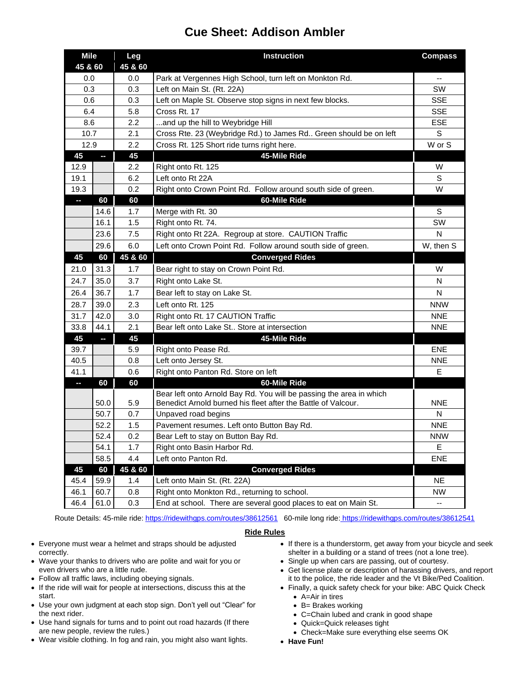## **Cue Sheet: Addison Ambler**

| <b>Mile</b> |      | Leg     | <b>Instruction</b>                                                  | <b>Compass</b> |
|-------------|------|---------|---------------------------------------------------------------------|----------------|
| 45 & 60     |      | 45 & 60 |                                                                     |                |
| 0.0         |      | 0.0     | Park at Vergennes High School, turn left on Monkton Rd.             |                |
| 0.3         |      | 0.3     | Left on Main St. (Rt. 22A)                                          | SW             |
| 0.6         |      | 0.3     | Left on Maple St. Observe stop signs in next few blocks.            | <b>SSE</b>     |
| 6.4         |      | 5.8     | Cross Rt. 17                                                        | <b>SSE</b>     |
| 8.6         |      | 2.2     | and up the hill to Weybridge Hill                                   | ESE            |
| 10.7        |      | 2.1     | Cross Rte. 23 (Weybridge Rd.) to James Rd Green should be on left   | S              |
| 12.9        |      | 2.2     | Cross Rt. 125 Short ride turns right here.                          | W or S         |
| 45          | ŀ    | 45      | 45-Mile Ride                                                        |                |
| 12.9        |      | 2.2     | Right onto Rt. 125                                                  | W              |
| 19.1        |      | 6.2     | Left onto Rt 22A                                                    | S              |
| 19.3        |      | 0.2     | Right onto Crown Point Rd. Follow around south side of green.       | W              |
| H           | 60   | 60      | 60-Mile Ride                                                        |                |
|             | 14.6 | 1.7     | Merge with Rt. 30                                                   | S              |
|             | 16.1 | 1.5     | Right onto Rt. 74.                                                  | SW             |
|             | 23.6 | 7.5     | Right onto Rt 22A. Regroup at store. CAUTION Traffic                | N              |
|             | 29.6 | 6.0     | Left onto Crown Point Rd. Follow around south side of green.        | W, then S      |
| 45          | 60   | 45 & 60 | <b>Converged Rides</b>                                              |                |
| 21.0        | 31.3 | 1.7     | Bear right to stay on Crown Point Rd.                               | W              |
| 24.7        | 35.0 | 3.7     | Right onto Lake St.                                                 | N              |
| 26.4        | 36.7 | 1.7     | Bear left to stay on Lake St.                                       | N              |
| 28.7        | 39.0 | 2.3     | Left onto Rt. 125                                                   | <b>NNW</b>     |
| 31.7        | 42.0 | 3.0     | Right onto Rt. 17 CAUTION Traffic                                   | <b>NNE</b>     |
| 33.8        | 44.1 | 2.1     | Bear left onto Lake St Store at intersection                        | <b>NNE</b>     |
| 45          | P.   | 45      | 45-Mile Ride                                                        |                |
| 39.7        |      | 5.9     | Right onto Pease Rd.                                                | <b>ENE</b>     |
| 40.5        |      | 0.8     | Left onto Jersey St.                                                | <b>NNE</b>     |
| 41.1        |      | 0.6     | Right onto Panton Rd. Store on left                                 | Е              |
| P.          | 60   | 60      | 60-Mile Ride                                                        |                |
|             |      |         | Bear left onto Arnold Bay Rd. You will be passing the area in which |                |
|             | 50.0 | 5.9     | Benedict Arnold burned his fleet after the Battle of Valcour.       | <b>NNE</b>     |
|             | 50.7 | 0.7     | Unpaved road begins                                                 | Ν              |
|             | 52.2 | 1.5     | Pavement resumes. Left onto Button Bay Rd.                          | <b>NNE</b>     |
|             | 52.4 | 0.2     | Bear Left to stay on Button Bay Rd.                                 | <b>NNW</b>     |
|             | 54.1 | 1.7     | Right onto Basin Harbor Rd.                                         | E              |
|             | 58.5 | 4.4     | Left onto Panton Rd.                                                | <b>ENE</b>     |
| 45          | 60   | 45 & 60 | <b>Converged Rides</b>                                              |                |
| 45.4        | 59.9 | 1.4     | Left onto Main St. (Rt. 22A)                                        | <b>NE</b>      |
| 46.1        | 60.7 | 0.8     | Right onto Monkton Rd., returning to school.                        | <b>NW</b>      |
| 46.4        | 61.0 | 0.3     | End at school. There are several good places to eat on Main St.     | $-$            |

Route Details: 45-mile ride:<https://ridewithgps.com/routes/38612561> 60-mile long ride: <https://ridewithgps.com/routes/38612541>

## **Ride Rules**

- Everyone must wear a helmet and straps should be adjusted correctly.
- Wave your thanks to drivers who are polite and wait for you or even drivers who are a little rude.
- Follow all traffic laws, including obeying signals.
- If the ride will wait for people at intersections, discuss this at the start.
- Use your own judgment at each stop sign. Don't yell out "Clear" for the next rider.
- Use hand signals for turns and to point out road hazards (If there are new people, review the rules.)
- Wear visible clothing. In fog and rain, you might also want lights.
- If there is a thunderstorm, get away from your bicycle and seek shelter in a building or a stand of trees (not a lone tree).
- Single up when cars are passing, out of courtesy.
- Get license plate or description of harassing drivers, and report it to the police, the ride leader and the Vt Bike/Ped Coalition.
- Finally, a quick safety check for your bike: ABC Quick Check
	- A=Air in tires
	- B= Brakes working
	- C=Chain lubed and crank in good shape
	- Quick=Quick releases tight
	- Check=Make sure everything else seems OK
- **Have Fun!**